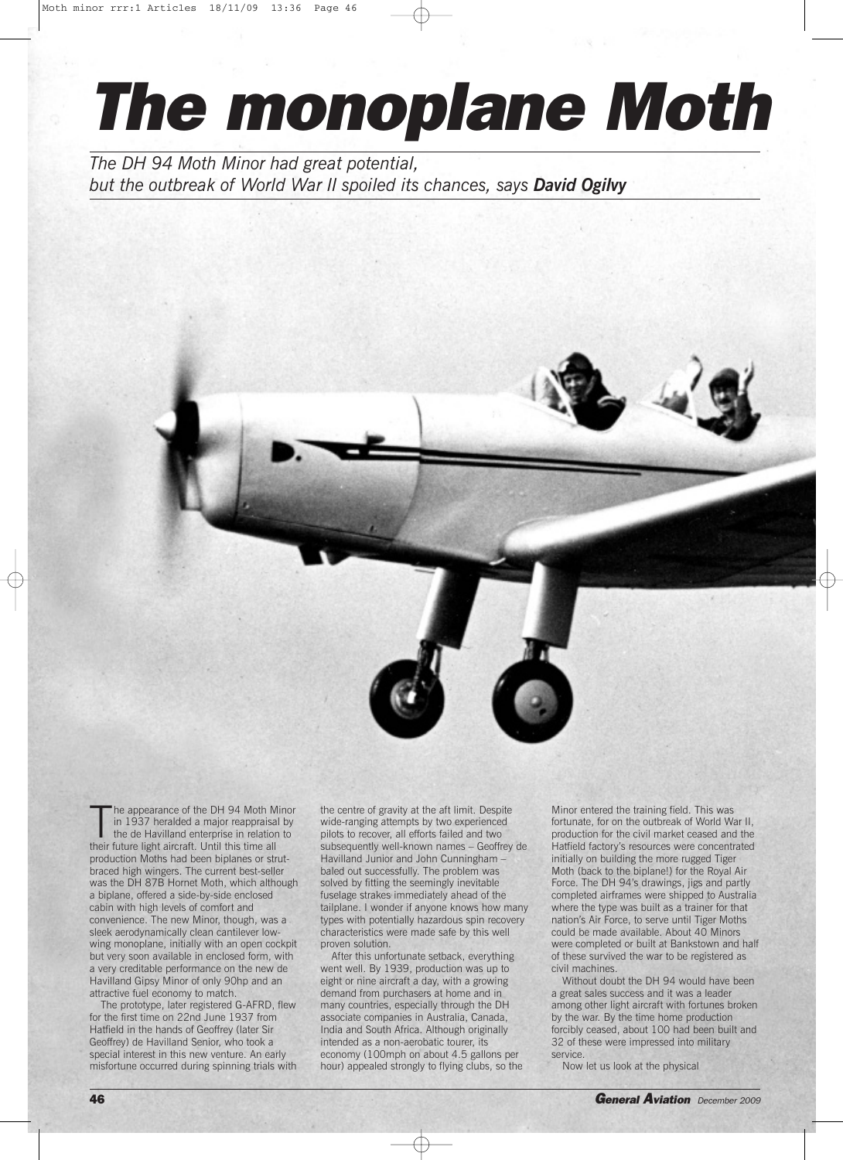## *The monoplane Moth*

*The DH 94 Moth Minor had great potential, but the outbreak of World War II spoiled its chances, says David Ogilvy*

The appearance of the DH 94 Moth M<br>in 1937 heralded a major reappraise<br>the de Havilland enterprise in relation<br>their future light aircraft. Until this time all he appearance of the DH 94 Moth Minor in 1937 heralded a major reappraisal by the de Havilland enterprise in relation to production Moths had been biplanes or strutbraced high wingers. The current best-seller was the DH 87B Hornet Moth, which although a biplane, offered a side-by-side enclosed cabin with high levels of comfort and convenience. The new Minor, though, was a sleek aerodynamically clean cantilever lowwing monoplane, initially with an open cockpit but very soon available in enclosed form, with a very creditable performance on the new de Havilland Gipsy Minor of only 90hp and an attractive fuel economy to match.

The prototype, later registered G-AFRD, flew for the first time on 22nd June 1937 from Hatfield in the hands of Geoffrey (later Sir Geoffrey) de Havilland Senior, who took a special interest in this new venture. An early misfortune occurred during spinning trials with the centre of gravity at the aft limit. Despite wide-ranging attempts by two experienced pilots to recover, all efforts failed and two subsequently well-known names – Geoffrey de Havilland Junior and John Cunningham – baled out successfully. The problem was solved by fitting the seemingly inevitable fuselage strakes immediately ahead of the tailplane. I wonder if anyone knows how many types with potentially hazardous spin recovery characteristics were made safe by this well proven solution.

After this unfortunate setback, everything went well. By 1939, production was up to eight or nine aircraft a day, with a growing demand from purchasers at home and in many countries, especially through the DH associate companies in Australia, Canada, India and South Africa. Although originally intended as a non-aerobatic tourer, its economy (100mph on about 4.5 gallons per hour) appealed strongly to flying clubs, so the Minor entered the training field. This was fortunate, for on the outbreak of World War II, production for the civil market ceased and the Hatfield factory's resources were concentrated initially on building the more rugged Tiger Moth (back to the biplane!) for the Royal Air Force. The DH 94's drawings, jigs and partly completed airframes were shipped to Australia where the type was built as a trainer for that nation's Air Force, to serve until Tiger Moths could be made available. About 40 Minors were completed or built at Bankstown and half of these survived the war to be registered as civil machines.

Without doubt the DH 94 would have been a great sales success and it was a leader among other light aircraft with fortunes broken by the war. By the time home production forcibly ceased, about 100 had been built and 32 of these were impressed into military service.

Now let us look at the physical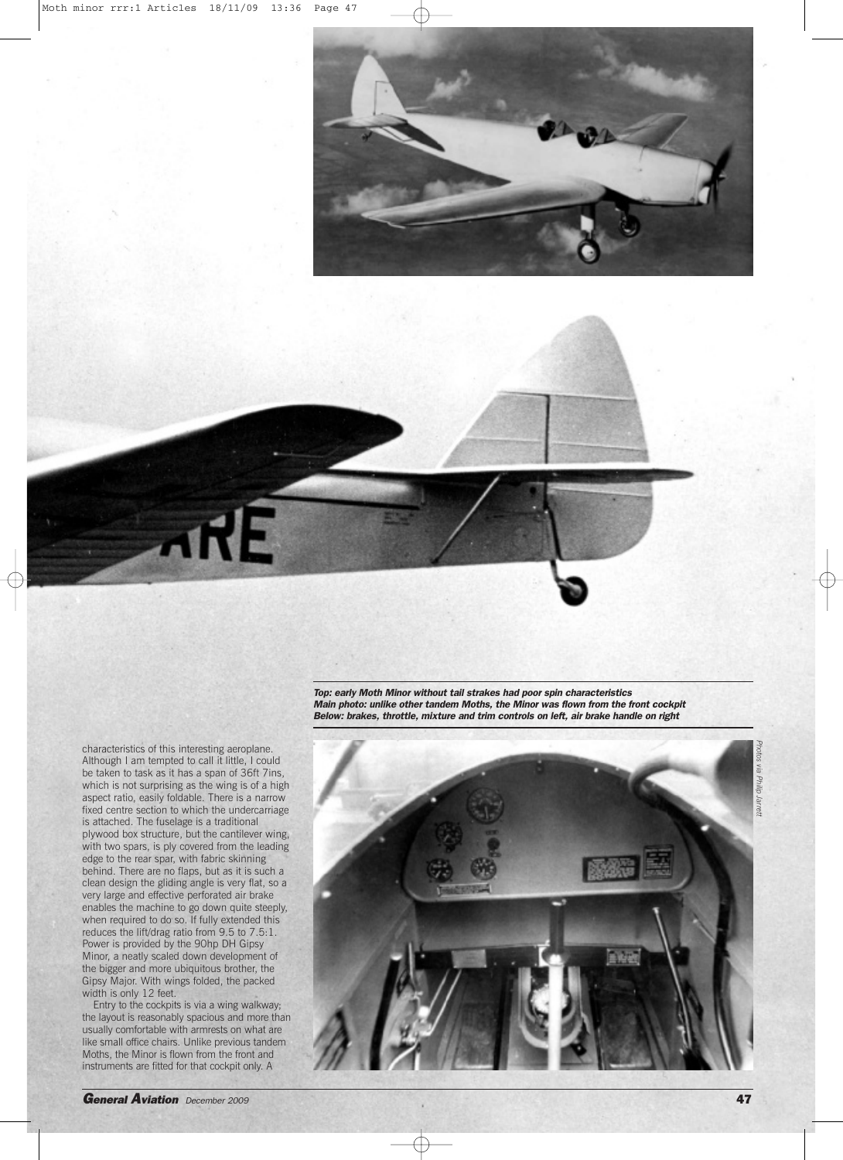

characteristics of this interesting aeroplane. Although I am tempted to call it little, I could be taken to task as it has a span of 36ft 7ins, which is not surprising as the wing is of a high aspect ratio, easily foldable. There is a narrow fixed centre section to which the undercarriage is attached. The fuselage is a traditional plywood box structure, but the cantilever wing, with two spars, is ply covered from the leading edge to the rear spar, with fabric skinning behind. There are no flaps, but as it is such a clean design the gliding angle is very flat, so a very large and effective perforated air brake enables the machine to go down quite steeply, when required to do so. If fully extended this reduces the lift/drag ratio from 9.5 to 7.5:1. Power is provided by the 90hp DH Gipsy Minor, a neatly scaled down development of the bigger and more ubiquitous brother, the Gipsy Major. With wings folded, the packed width is only 12 feet.

Entry to the cockpits is via a wing walkway; the layout is reasonably spacious and more than usually comfortable with armrests on what are like small office chairs. Unlike previous tandem Moths, the Minor is flown from the front and instruments are fitted for that cockpit only. A

*Top: early Moth Minor without tail strakes had poor spin characteristics Main photo: unlike other tandem Moths, the Minor was flown from the front cockpit Below: brakes, throttle, mixture and trim controls on left, air brake handle on right*

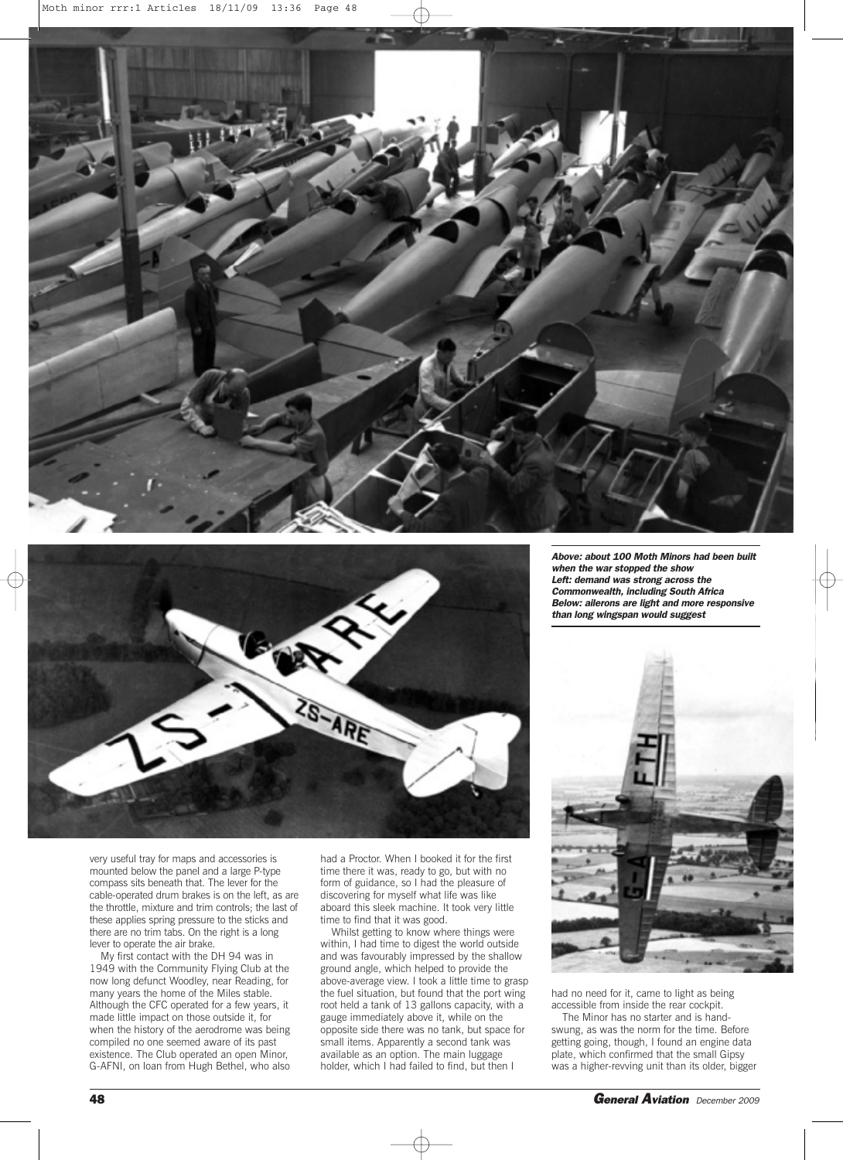



very useful tray for maps and accessories is mounted below the panel and a large P-type compass sits beneath that. The lever for the cable-operated drum brakes is on the left, as are the throttle, mixture and trim controls; the last of these applies spring pressure to the sticks and there are no trim tabs. On the right is a long lever to operate the air brake.

My first contact with the DH 94 was in 1949 with the Community Flying Club at the now long defunct Woodley, near Reading, for many years the home of the Miles stable. Although the CFC operated for a few years, it made little impact on those outside it, for when the history of the aerodrome was being compiled no one seemed aware of its past existence. The Club operated an open Minor, G-AFNI, on loan from Hugh Bethel, who also

had a Proctor. When I booked it for the first time there it was, ready to go, but with no form of guidance, so I had the pleasure of discovering for myself what life was like aboard this sleek machine. It took very little time to find that it was good.

Whilst getting to know where things were within, I had time to digest the world outside and was favourably impressed by the shallow ground angle, which helped to provide the above-average view. I took a little time to grasp the fuel situation, but found that the port wing root held a tank of 13 gallons capacity, with a gauge immediately above it, while on the opposite side there was no tank, but space for small items. Apparently a second tank was available as an option. The main luggage holder, which I had failed to find, but then I

*Above: about 100 Moth Minors had been built when the war stopped the show Left: demand was strong across the Commonwealth, including South Africa Below: ailerons are light and more responsive than long wingspan would suggest*



had no need for it, came to light as being accessible from inside the rear cockpit.

The Minor has no starter and is handswung, as was the norm for the time. Before getting going, though, I found an engine data plate, which confirmed that the small Gipsy was a higher-revving unit than its older, bigger